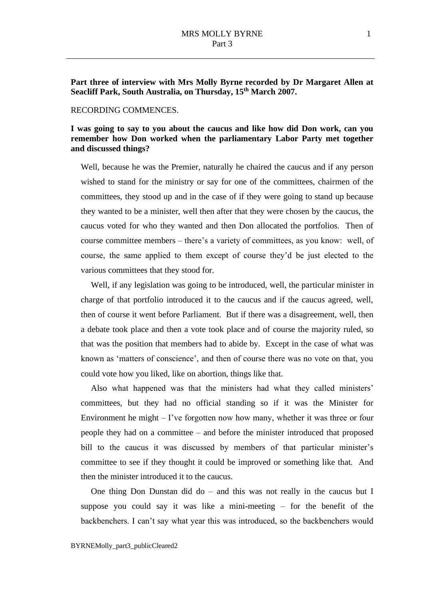#### RECORDING COMMENCES.

## **I was going to say to you about the caucus and like how did Don work, can you remember how Don worked when the parliamentary Labor Party met together and discussed things?**

Well, because he was the Premier, naturally he chaired the caucus and if any person wished to stand for the ministry or say for one of the committees, chairmen of the committees, they stood up and in the case of if they were going to stand up because they wanted to be a minister, well then after that they were chosen by the caucus, the caucus voted for who they wanted and then Don allocated the portfolios. Then of course committee members – there's a variety of committees, as you know: well, of course, the same applied to them except of course they'd be just elected to the various committees that they stood for.

Well, if any legislation was going to be introduced, well, the particular minister in charge of that portfolio introduced it to the caucus and if the caucus agreed, well, then of course it went before Parliament. But if there was a disagreement, well, then a debate took place and then a vote took place and of course the majority ruled, so that was the position that members had to abide by. Except in the case of what was known as 'matters of conscience', and then of course there was no vote on that, you could vote how you liked, like on abortion, things like that.

Also what happened was that the ministers had what they called ministers' committees, but they had no official standing so if it was the Minister for Environment he might  $-$  I've forgotten now how many, whether it was three or four people they had on a committee – and before the minister introduced that proposed bill to the caucus it was discussed by members of that particular minister's committee to see if they thought it could be improved or something like that. And then the minister introduced it to the caucus.

One thing Don Dunstan did do – and this was not really in the caucus but I suppose you could say it was like a mini-meeting – for the benefit of the backbenchers. I can't say what year this was introduced, so the backbenchers would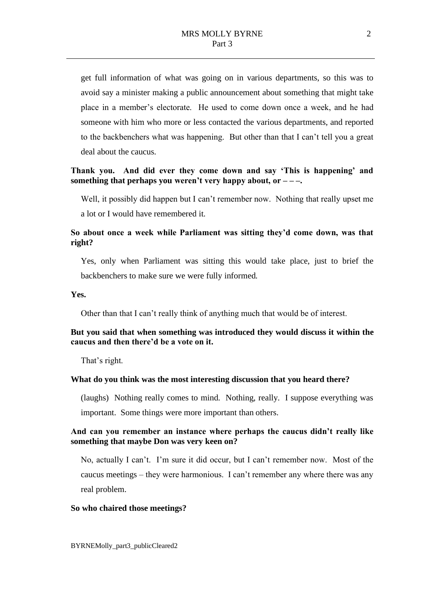get full information of what was going on in various departments, so this was to avoid say a minister making a public announcement about something that might take place in a member's electorate. He used to come down once a week, and he had someone with him who more or less contacted the various departments, and reported to the backbenchers what was happening. But other than that I can't tell you a great deal about the caucus.

## **Thank you. And did ever they come down and say 'This is happening' and something that perhaps you weren't very happy about, or – – –.**

Well, it possibly did happen but I can't remember now. Nothing that really upset me a lot or I would have remembered it.

## **So about once a week while Parliament was sitting they'd come down, was that right?**

Yes, only when Parliament was sitting this would take place, just to brief the backbenchers to make sure we were fully informed.

**Yes.**

Other than that I can't really think of anything much that would be of interest.

## **But you said that when something was introduced they would discuss it within the caucus and then there'd be a vote on it.**

That's right.

#### **What do you think was the most interesting discussion that you heard there?**

(laughs) Nothing really comes to mind. Nothing, really. I suppose everything was important. Some things were more important than others.

## **And can you remember an instance where perhaps the caucus didn't really like something that maybe Don was very keen on?**

No, actually I can't. I'm sure it did occur, but I can't remember now. Most of the caucus meetings – they were harmonious. I can't remember any where there was any real problem.

#### **So who chaired those meetings?**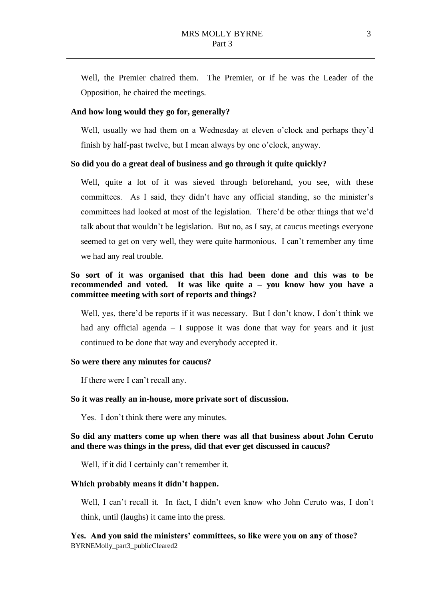Well, the Premier chaired them. The Premier, or if he was the Leader of the Opposition, he chaired the meetings.

#### **And how long would they go for, generally?**

Well, usually we had them on a Wednesday at eleven o'clock and perhaps they'd finish by half-past twelve, but I mean always by one o'clock, anyway.

#### **So did you do a great deal of business and go through it quite quickly?**

Well, quite a lot of it was sieved through beforehand, you see, with these committees. As I said, they didn't have any official standing, so the minister's committees had looked at most of the legislation. There'd be other things that we'd talk about that wouldn't be legislation. But no, as I say, at caucus meetings everyone seemed to get on very well, they were quite harmonious. I can't remember any time we had any real trouble.

## **So sort of it was organised that this had been done and this was to be recommended and voted. It was like quite a – you know how you have a committee meeting with sort of reports and things?**

Well, yes, there'd be reports if it was necessary. But I don't know, I don't think we had any official agenda – I suppose it was done that way for years and it just continued to be done that way and everybody accepted it.

#### **So were there any minutes for caucus?**

If there were I can't recall any.

#### **So it was really an in-house, more private sort of discussion.**

Yes. I don't think there were any minutes.

## **So did any matters come up when there was all that business about John Ceruto and there was things in the press, did that ever get discussed in caucus?**

Well, if it did I certainly can't remember it.

#### **Which probably means it didn't happen.**

Well, I can't recall it. In fact, I didn't even know who John Ceruto was, I don't think, until (laughs) it came into the press.

BYRNEMolly\_part3\_publicCleared2 **Yes. And you said the ministers' committees, so like were you on any of those?**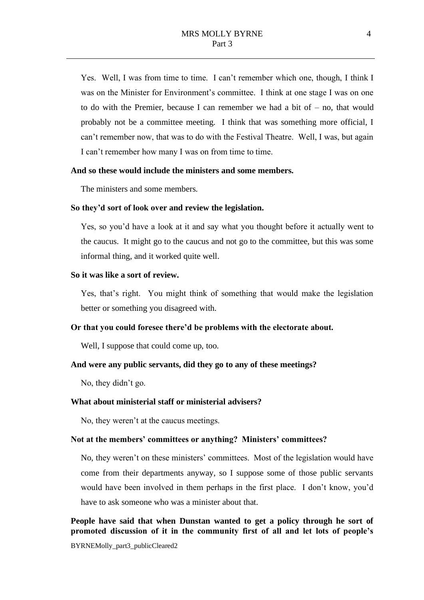Yes. Well, I was from time to time. I can't remember which one, though, I think I was on the Minister for Environment's committee. I think at one stage I was on one to do with the Premier, because I can remember we had a bit of  $-$  no, that would probably not be a committee meeting. I think that was something more official, I can't remember now, that was to do with the Festival Theatre. Well, I was, but again I can't remember how many I was on from time to time.

#### **And so these would include the ministers and some members.**

The ministers and some members.

#### **So they'd sort of look over and review the legislation.**

Yes, so you'd have a look at it and say what you thought before it actually went to the caucus. It might go to the caucus and not go to the committee, but this was some informal thing, and it worked quite well.

#### **So it was like a sort of review.**

Yes, that's right. You might think of something that would make the legislation better or something you disagreed with.

#### **Or that you could foresee there'd be problems with the electorate about.**

Well, I suppose that could come up, too.

## **And were any public servants, did they go to any of these meetings?**

No, they didn't go.

## **What about ministerial staff or ministerial advisers?**

No, they weren't at the caucus meetings.

#### **Not at the members' committees or anything? Ministers' committees?**

No, they weren't on these ministers' committees. Most of the legislation would have come from their departments anyway, so I suppose some of those public servants would have been involved in them perhaps in the first place. I don't know, you'd have to ask someone who was a minister about that.

# **People have said that when Dunstan wanted to get a policy through he sort of promoted discussion of it in the community first of all and let lots of people's**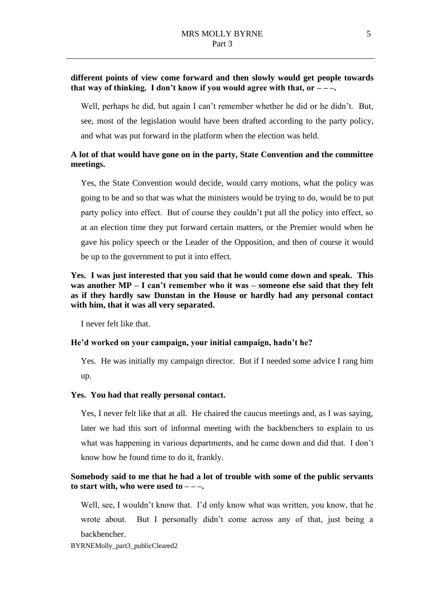## **different points of view come forward and then slowly would get people towards that way of thinking. I don't know if you would agree with that, or – – –.**

Well, perhaps he did, but again I can't remember whether he did or he didn't. But, see, most of the legislation would have been drafted according to the party policy, and what was put forward in the platform when the election was held.

## **A lot of that would have gone on in the party, State Convention and the committee meetings.**

Yes, the State Convention would decide, would carry motions, what the policy was going to be and so that was what the ministers would be trying to do, would be to put party policy into effect. But of course they couldn't put all the policy into effect, so at an election time they put forward certain matters, or the Premier would when he gave his policy speech or the Leader of the Opposition, and then of course it would be up to the government to put it into effect.

## **Yes. I was just interested that you said that he would come down and speak. This was another MP – I can't remember who it was – someone else said that they felt as if they hardly saw Dunstan in the House or hardly had any personal contact with him, that it was all very separated.**

I never felt like that.

## **He'd worked on your campaign, your initial campaign, hadn't he?**

Yes. He was initially my campaign director. But if I needed some advice I rang him up.

#### **Yes. You had that really personal contact.**

Yes, I never felt like that at all. He chaired the caucus meetings and, as I was saying, later we had this sort of informal meeting with the backbenchers to explain to us what was happening in various departments, and he came down and did that. I don't know how he found time to do it, frankly.

## **Somebody said to me that he had a lot of trouble with some of the public servants to start with, who were used to**  $---$ **.**

Well, see, I wouldn't know that. I'd only know what was written, you know, that he wrote about. But I personally didn't come across any of that, just being a backbencher.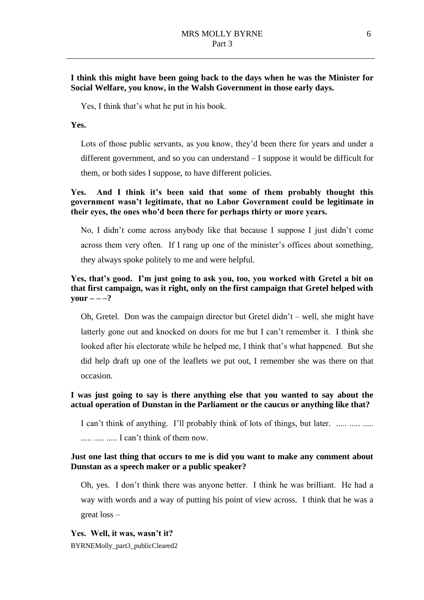## **I think this might have been going back to the days when he was the Minister for Social Welfare, you know, in the Walsh Government in those early days.**

Yes, I think that's what he put in his book.

#### **Yes.**

Lots of those public servants, as you know, they'd been there for years and under a different government, and so you can understand – I suppose it would be difficult for them, or both sides I suppose, to have different policies.

## **Yes. And I think it's been said that some of them probably thought this government wasn't legitimate, that no Labor Government could be legitimate in their eyes, the ones who'd been there for perhaps thirty or more years.**

No, I didn't come across anybody like that because I suppose I just didn't come across them very often. If I rang up one of the minister's offices about something, they always spoke politely to me and were helpful.

## **Yes, that's good. I'm just going to ask you, too, you worked with Gretel a bit on that first campaign, was it right, only on the first campaign that Gretel helped with**   $\text{your}$  **– –**–?

Oh, Gretel. Don was the campaign director but Gretel didn't – well, she might have latterly gone out and knocked on doors for me but I can't remember it. I think she looked after his electorate while he helped me, I think that's what happened. But she did help draft up one of the leaflets we put out, I remember she was there on that occasion.

## **I was just going to say is there anything else that you wanted to say about the actual operation of Dunstan in the Parliament or the caucus or anything like that?**

I can't think of anything. I'll probably think of lots of things, but later. ..... ..... ..... ..... ..... ..... I can't think of them now.

## **Just one last thing that occurs to me is did you want to make any comment about Dunstan as a speech maker or a public speaker?**

Oh, yes. I don't think there was anyone better. I think he was brilliant. He had a way with words and a way of putting his point of view across. I think that he was a great loss –

## **Yes. Well, it was, wasn't it?**